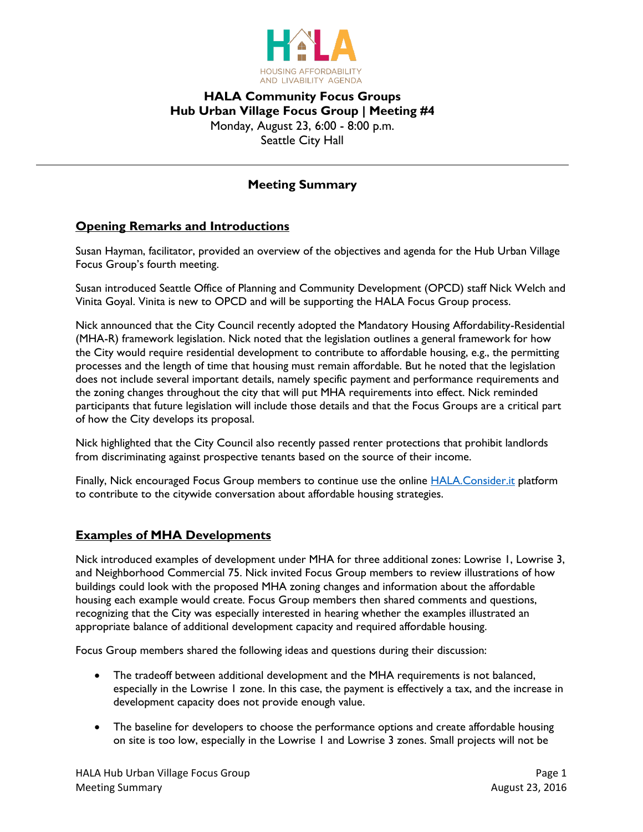

### **HALA Community Focus Groups Hub Urban Village Focus Group | Meeting #4** Monday, August 23, 6:00 - 8:00 p.m. Seattle City Hall

### **Meeting Summary**

#### **Opening Remarks and Introductions**

Susan Hayman, facilitator, provided an overview of the objectives and agenda for the Hub Urban Village Focus Group's fourth meeting.

Susan introduced Seattle Office of Planning and Community Development (OPCD) staff Nick Welch and Vinita Goyal. Vinita is new to OPCD and will be supporting the HALA Focus Group process.

Nick announced that the City Council recently adopted the Mandatory Housing Affordability-Residential (MHA-R) framework legislation. Nick noted that the legislation outlines a general framework for how the City would require residential development to contribute to affordable housing, e.g., the permitting processes and the length of time that housing must remain affordable. But he noted that the legislation does not include several important details, namely specific payment and performance requirements and the zoning changes throughout the city that will put MHA requirements into effect. Nick reminded participants that future legislation will include those details and that the Focus Groups are a critical part of how the City develops its proposal.

Nick highlighted that the City Council also recently passed renter protections that prohibit landlords from discriminating against prospective tenants based on the source of their income.

Finally, Nick encouraged Focus Group members to continue use the online [HALA.Consider.it](https://hala.consider.it/) platform to contribute to the citywide conversation about affordable housing strategies.

### **Examples of MHA Developments**

Nick introduced examples of development under MHA for three additional zones: Lowrise 1, Lowrise 3, and Neighborhood Commercial 75. Nick invited Focus Group members to review illustrations of how buildings could look with the proposed MHA zoning changes and information about the affordable housing each example would create. Focus Group members then shared comments and questions, recognizing that the City was especially interested in hearing whether the examples illustrated an appropriate balance of additional development capacity and required affordable housing.

Focus Group members shared the following ideas and questions during their discussion:

- The tradeoff between additional development and the MHA requirements is not balanced, especially in the Lowrise 1 zone. In this case, the payment is effectively a tax, and the increase in development capacity does not provide enough value.
- The baseline for developers to choose the performance options and create affordable housing on site is too low, especially in the Lowrise 1 and Lowrise 3 zones. Small projects will not be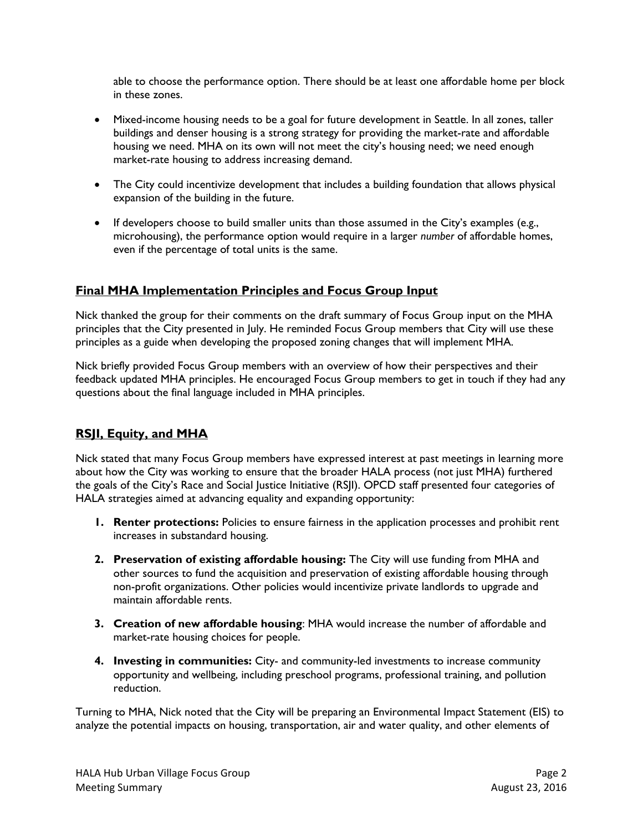able to choose the performance option. There should be at least one affordable home per block in these zones.

- Mixed-income housing needs to be a goal for future development in Seattle. In all zones, taller buildings and denser housing is a strong strategy for providing the market-rate and affordable housing we need. MHA on its own will not meet the city's housing need; we need enough market-rate housing to address increasing demand.
- The City could incentivize development that includes a building foundation that allows physical expansion of the building in the future.
- If developers choose to build smaller units than those assumed in the City's examples (e.g., microhousing), the performance option would require in a larger *number* of affordable homes, even if the percentage of total units is the same.

### **Final MHA Implementation Principles and Focus Group Input**

Nick thanked the group for their comments on the draft summary of Focus Group input on the MHA principles that the City presented in July. He reminded Focus Group members that City will use these principles as a guide when developing the proposed zoning changes that will implement MHA.

Nick briefly provided Focus Group members with an overview of how their perspectives and their feedback updated MHA principles. He encouraged Focus Group members to get in touch if they had any questions about the final language included in MHA principles.

### **RSJI, Equity, and MHA**

Nick stated that many Focus Group members have expressed interest at past meetings in learning more about how the City was working to ensure that the broader HALA process (not just MHA) furthered the goals of the City's Race and Social Justice Initiative (RSJI). OPCD staff presented four categories of HALA strategies aimed at advancing equality and expanding opportunity:

- **1. Renter protections:** Policies to ensure fairness in the application processes and prohibit rent increases in substandard housing.
- **2. Preservation of existing affordable housing:** The City will use funding from MHA and other sources to fund the acquisition and preservation of existing affordable housing through non-profit organizations. Other policies would incentivize private landlords to upgrade and maintain affordable rents.
- **3. Creation of new affordable housing**: MHA would increase the number of affordable and market-rate housing choices for people.
- **4. Investing in communities:** City- and community-led investments to increase community opportunity and wellbeing, including preschool programs, professional training, and pollution reduction.

Turning to MHA, Nick noted that the City will be preparing an Environmental Impact Statement (EIS) to analyze the potential impacts on housing, transportation, air and water quality, and other elements of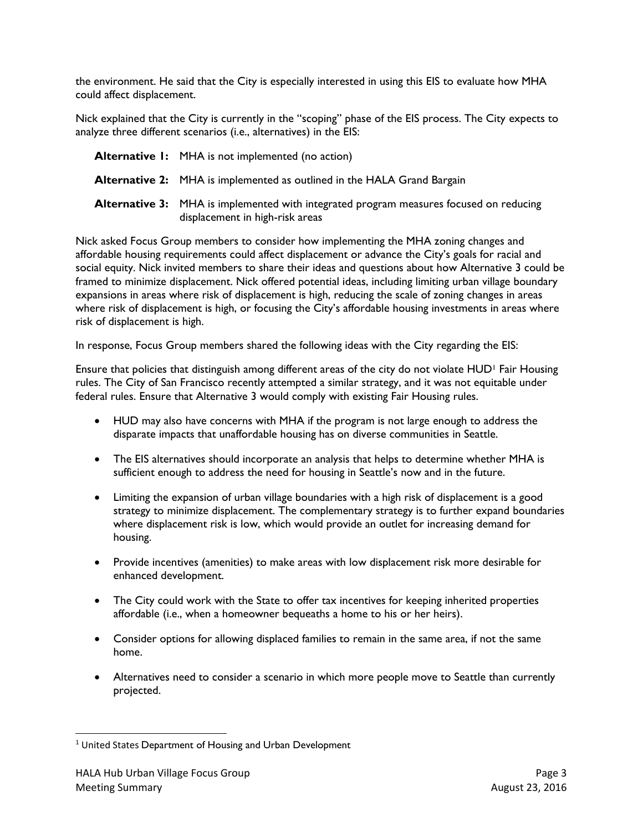the environment. He said that the City is especially interested in using this EIS to evaluate how MHA could affect displacement.

Nick explained that the City is currently in the "scoping" phase of the EIS process. The City expects to analyze three different scenarios (i.e., alternatives) in the EIS:

| <b>Alternative I:</b> MHA is not implemented (no action)                                                                         |
|----------------------------------------------------------------------------------------------------------------------------------|
| <b>Alternative 2:</b> MHA is implemented as outlined in the HALA Grand Bargain                                                   |
| <b>Alternative 3:</b> MHA is implemented with integrated program measures focused on reducing<br>displacement in high-risk areas |

Nick asked Focus Group members to consider how implementing the MHA zoning changes and affordable housing requirements could affect displacement or advance the City's goals for racial and social equity. Nick invited members to share their ideas and questions about how Alternative 3 could be framed to minimize displacement. Nick offered potential ideas, including limiting urban village boundary expansions in areas where risk of displacement is high, reducing the scale of zoning changes in areas where risk of displacement is high, or focusing the City's affordable housing investments in areas where risk of displacement is high.

In response, Focus Group members shared the following ideas with the City regarding the EIS:

Ensure that policies that distinguish among different areas of the city do not violate HUD<sup>1</sup> Fair Housing rules. The City of San Francisco recently attempted a similar strategy, and it was not equitable under federal rules. Ensure that Alternative 3 would comply with existing Fair Housing rules.

- HUD may also have concerns with MHA if the program is not large enough to address the disparate impacts that unaffordable housing has on diverse communities in Seattle.
- The EIS alternatives should incorporate an analysis that helps to determine whether MHA is sufficient enough to address the need for housing in Seattle's now and in the future.
- Limiting the expansion of urban village boundaries with a high risk of displacement is a good strategy to minimize displacement. The complementary strategy is to further expand boundaries where displacement risk is low, which would provide an outlet for increasing demand for housing.
- Provide incentives (amenities) to make areas with low displacement risk more desirable for enhanced development.
- The City could work with the State to offer tax incentives for keeping inherited properties affordable (i.e., when a homeowner bequeaths a home to his or her heirs).
- Consider options for allowing displaced families to remain in the same area, if not the same home.
- Alternatives need to consider a scenario in which more people move to Seattle than currently projected.

 $\overline{\phantom{a}}$ <sup>1</sup> United States Department of Housing and Urban Development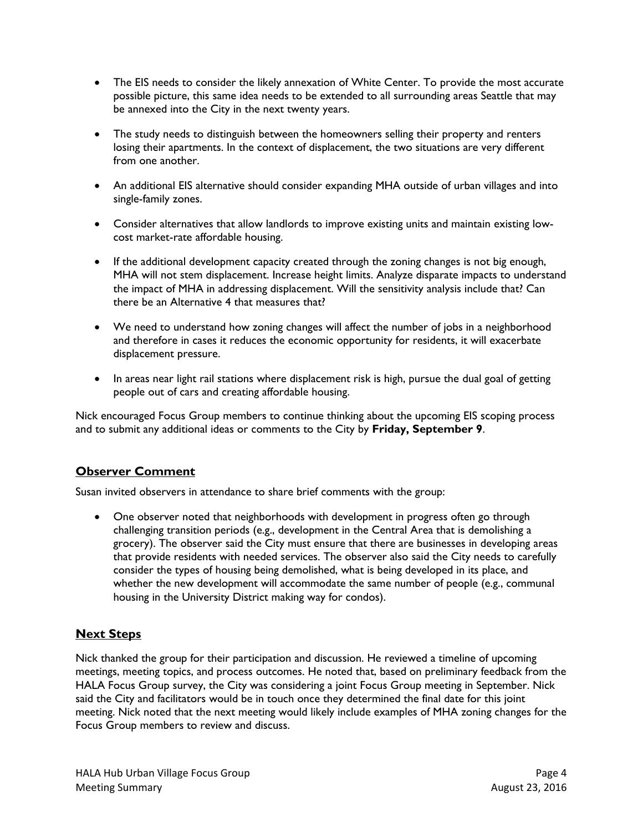- The EIS needs to consider the likely annexation of White Center. To provide the most accurate possible picture, this same idea needs to be extended to all surrounding areas Seattle that may be annexed into the City in the next twenty years.
- The study needs to distinguish between the homeowners selling their property and renters losing their apartments. In the context of displacement, the two situations are very different from one another.
- An additional EIS alternative should consider expanding MHA outside of urban villages and into single-family zones.
- Consider alternatives that allow landlords to improve existing units and maintain existing lowcost market-rate affordable housing.
- If the additional development capacity created through the zoning changes is not big enough, MHA will not stem displacement. Increase height limits. Analyze disparate impacts to understand the impact of MHA in addressing displacement. Will the sensitivity analysis include that? Can there be an Alternative 4 that measures that?
- We need to understand how zoning changes will affect the number of jobs in a neighborhood and therefore in cases it reduces the economic opportunity for residents, it will exacerbate displacement pressure.
- In areas near light rail stations where displacement risk is high, pursue the dual goal of getting people out of cars and creating affordable housing.

Nick encouraged Focus Group members to continue thinking about the upcoming EIS scoping process and to submit any additional ideas or comments to the City by **Friday, September 9**.

## **Observer Comment**

Susan invited observers in attendance to share brief comments with the group:

 One observer noted that neighborhoods with development in progress often go through challenging transition periods (e.g., development in the Central Area that is demolishing a grocery). The observer said the City must ensure that there are businesses in developing areas that provide residents with needed services. The observer also said the City needs to carefully consider the types of housing being demolished, what is being developed in its place, and whether the new development will accommodate the same number of people (e.g., communal housing in the University District making way for condos).

## **Next Steps**

Nick thanked the group for their participation and discussion. He reviewed a timeline of upcoming meetings, meeting topics, and process outcomes. He noted that, based on preliminary feedback from the HALA Focus Group survey, the City was considering a joint Focus Group meeting in September. Nick said the City and facilitators would be in touch once they determined the final date for this joint meeting. Nick noted that the next meeting would likely include examples of MHA zoning changes for the Focus Group members to review and discuss.